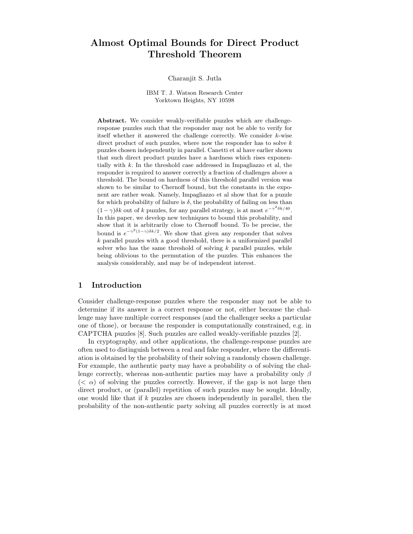# Almost Optimal Bounds for Direct Product Threshold Theorem

### Charanjit S. Jutla

## IBM T. J. Watson Research Center Yorktown Heights, NY 10598

Abstract. We consider weakly-verifiable puzzles which are challengeresponse puzzles such that the responder may not be able to verify for itself whether it answered the challenge correctly. We consider k-wise direct product of such puzzles, where now the responder has to solve  $k$ puzzles chosen independently in parallel. Canetti et al have earlier shown that such direct product puzzles have a hardness which rises exponentially with k. In the threshold case addressed in Impagliazzo et al, the responder is required to answer correctly a fraction of challenges above a threshold. The bound on hardness of this threshold parallel version was shown to be similar to Chernoff bound, but the constants in the exponent are rather weak. Namely, Impagliazzo et al show that for a puzzle for which probability of failure is  $\delta$ , the probability of failing on less than  $(1-\gamma)\delta k$  out of k puzzles, for any parallel strategy, is at most  $e^{-\gamma^2 \delta k/40}$ . In this paper, we develop new techniques to bound this probability, and show that it is arbitrarily close to Chernoff bound. To be precise, the bound is  $e^{-\gamma^2(1-\gamma)\delta k/2}$ . We show that given any responder that solves  $k$  parallel puzzles with a good threshold, there is a uniformized parallel solver who has the same threshold of solving  $k$  parallel puzzles, while being oblivious to the permutation of the puzzles. This enhances the analysis considerably, and may be of independent interest.

# 1 Introduction

Consider challenge-response puzzles where the responder may not be able to determine if its answer is a correct response or not, either because the challenge may have multiple correct responses (and the challenger seeks a particular one of those), or because the responder is computationally constrained, e.g. in CAPTCHA puzzles [8]. Such puzzles are called weakly-verifiable puzzles [2].

In cryptography, and other applications, the challenge-response puzzles are often used to distinguish between a real and fake responder, where the differentiation is obtained by the probability of their solving a randomly chosen challenge. For example, the authentic party may have a probability  $\alpha$  of solving the challenge correctly, whereas non-authentic parties may have a probability only  $\beta$  $( $\alpha$ )$  of solving the puzzles correctly. However, if the gap is not large then direct product, or (parallel) repetition of such puzzles may be sought. Ideally, one would like that if k puzzles are chosen independently in parallel, then the probability of the non-authentic party solving all puzzles correctly is at most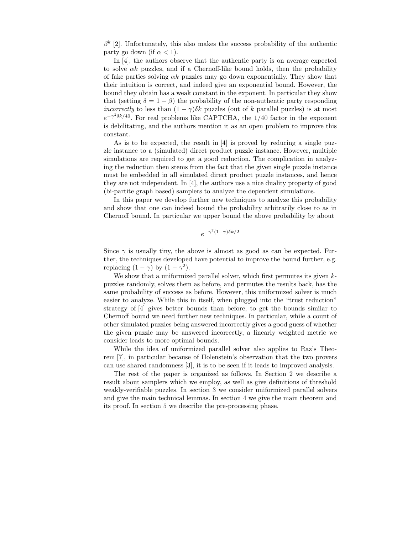$\beta^k$  [2]. Unfortunately, this also makes the success probability of the authentic party go down (if  $\alpha < 1$ ).

In [4], the authors observe that the authentic party is on average expected to solve  $\alpha k$  puzzles, and if a Chernoff-like bound holds, then the probability of fake parties solving  $\alpha k$  puzzles may go down exponentially. They show that their intuition is correct, and indeed give an exponential bound. However, the bound they obtain has a weak constant in the exponent. In particular they show that (setting  $\delta = 1 - \beta$ ) the probability of the non-authentic party responding *incorrectly* to less than  $(1 - \gamma)\delta k$  puzzles (out of k parallel puzzles) is at most  $e^{-\gamma^2 \delta k/40}$ . For real problems like CAPTCHA, the 1/40 factor in the exponent is debilitating, and the authors mention it as an open problem to improve this constant.

As is to be expected, the result in [4] is proved by reducing a single puzzle instance to a (simulated) direct product puzzle instance. However, multiple simulations are required to get a good reduction. The complication in analyzing the reduction then stems from the fact that the given single puzzle instance must be embedded in all simulated direct product puzzle instances, and hence they are not independent. In [4], the authors use a nice duality property of good (bi-partite graph based) samplers to analyze the dependent simulations.

In this paper we develop further new techniques to analyze this probability and show that one can indeed bound the probability arbitrarily close to as in Chernoff bound. In particular we upper bound the above probability by about

$$
e^{-\gamma^2(1-\gamma)\delta k/2}
$$

Since  $\gamma$  is usually tiny, the above is almost as good as can be expected. Further, the techniques developed have potential to improve the bound further, e.g. replacing  $(1 - \gamma)$  by  $(1 - \gamma^2)$ .

We show that a uniformized parallel solver, which first permutes its given  $k$ puzzles randomly, solves them as before, and permutes the results back, has the same probability of success as before. However, this uniformized solver is much easier to analyze. While this in itself, when plugged into the "trust reduction" strategy of [4] gives better bounds than before, to get the bounds similar to Chernoff bound we need further new techniques. In particular, while a count of other simulated puzzles being answered incorrectly gives a good guess of whether the given puzzle may be answered incorrectly, a linearly weighted metric we consider leads to more optimal bounds.

While the idea of uniformized parallel solver also applies to Raz's Theorem [7], in particular because of Holenstein's observation that the two provers can use shared randomness [3], it is to be seen if it leads to improved analysis.

The rest of the paper is organized as follows. In Section 2 we describe a result about samplers which we employ, as well as give definitions of threshold weakly-verifiable puzzles. In section 3 we consider uniformized parallel solvers and give the main technical lemmas. In section 4 we give the main theorem and its proof. In section 5 we describe the pre-processing phase.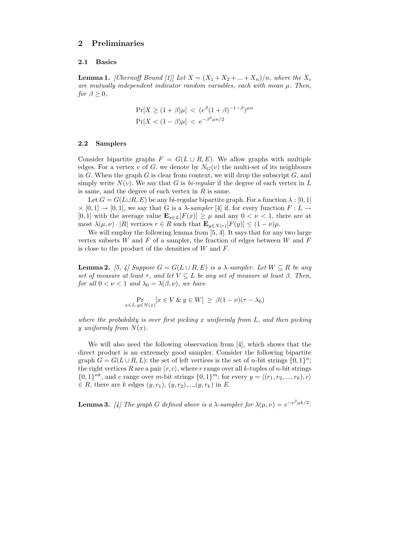## 2 Preliminaries

## 2.1 Basics

**Lemma 1.** [Chernoff Bound [1]] Let  $X = (X_1 + X_2 + ... + X_n)/n$ , where the  $X_i$ are mutually independent indicator random variables, each with mean  $\mu$ . Then, for  $\beta > 0$ ,

$$
\Pr[X \ge (1+\beta)\mu] < (e^{\beta}(1+\beta)^{-1-\beta})^{\mu n}
$$
\n
$$
\Pr[X < (1-\beta)\mu] < e^{-\beta^2\mu n/2}
$$

## 2.2 Samplers

Consider bipartite graphs  $F = G(L \cup R, E)$ . We allow graphs with multiple edges. For a vertex v of G, we denote by  $N_G(v)$  the multi-set of its neighbours in G. When the graph G is clear from context, we will drop the subscript  $G$ , and simply write  $N(v)$ . We say that G is *bi-regular* if the degree of each vertex in L is same, and the degree of each vertex in  $R$  is same.

Let  $G = G(L \cup R, E)$  be any bi-regular bipartite graph. For a function  $\lambda : [0, 1]$  $\times$  [0, 1]  $\rightarrow$  [0, 1], we say that G is a  $\lambda$ -sampler [4] if, for every function  $F: L \rightarrow$ [0, 1] with the average value  $\mathbf{E}_{x\in L}[F(x)] \geq \mu$  and any  $0 < \nu < 1$ , there are at most  $\lambda(\mu, \nu) \cdot |R|$  vertices  $r \in R$  such that  $\mathbf{E}_{y \in N(r)}[F(y)] \leq (1 - \nu)\mu$ .

We will employ the following lemma from [5, 4]. It says that for any two large vertex subsets  $W$  and  $F$  of a sampler, the fraction of edges between  $W$  and  $F$ is close to the product of the densities of  $W$  and  $F$ .

**Lemma 2.** [5, 4] Suppose  $G = G(L \cup R, E)$  is a  $\lambda$ -sampler. Let  $W \subseteq R$  be any set of measure at least  $\tau$ , and let  $V \subseteq L$  be any set of measure at least  $\beta$ . Then, for all  $0 < \nu < 1$  and  $\lambda_0 = \lambda(\beta, \nu)$ , we have

$$
\Pr_{x \in L, y \in N(x)}[x \in V \& y \in W] \ge \beta(1 - \nu)(\tau - \lambda_0)
$$

where the probability is over first picking x uniformly from  $L$ , and then picking y uniformly from  $N(x)$ .

We will also need the following observation from [4], which shows that the direct product is an extremely good sampler. Consider the following bipartite graph  $G = G(L \cup R, L)$ : the set of left vertices is the set of *n*-bit strings  $\{0, 1\}^n$ ; the right vertices R are a pair  $\langle r, c \rangle$ , where r range over all k-tuples of n-bit strings  ${0,1}^{\n m}$ , and c range over m-bit strings  ${0,1}^m$ ; for every  $y = \langle (r_1, r_2, ..., r_k), c \rangle$  $\in R$ , there are k edges  $(y, r_1), (y, r_2), ..., (y, r_k)$  in E.

**Lemma 3.** [4] The graph G defined above is a  $\lambda$ -sampler for  $\lambda(\mu, \nu) = e^{-\nu^2 \mu k/2}$ .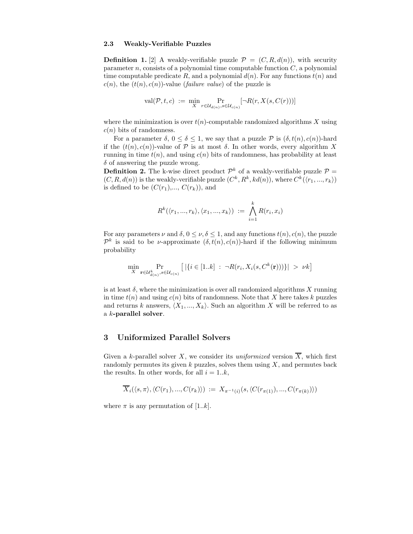#### 2.3 Weakly-Verifiable Puzzles

**Definition 1.** [2] A weakly-verifiable puzzle  $\mathcal{P} = (C, R, d(n))$ , with security parameter  $n$ , consists of a polynomial time computable function  $C$ , a polynomial time computable predicate R, and a polynomial  $d(n)$ . For any functions  $t(n)$  and  $c(n)$ , the  $(t(n), c(n))$ -value (*failure value*) of the puzzle is

$$
\mathrm{val}(\mathcal{P}, t, c) := \min_{X} \Pr_{r \in \mathcal{U}_{d(n)}, s \in \mathcal{U}_{c(n)}}[\neg R(r, X(s, C(r)))]
$$

where the minimization is over  $t(n)$ -computable randomized algorithms X using  $c(n)$  bits of randomness.

For a parameter  $\delta, 0 \leq \delta \leq 1$ , we say that a puzzle  $\mathcal P$  is  $(\delta, t(n), c(n))$ -hard if the  $(t(n), c(n))$ -value of  $P$  is at most  $\delta$ . In other words, every algorithm X running in time  $t(n)$ , and using  $c(n)$  bits of randomness, has probability at least  $\delta$  of answering the puzzle wrong.

**Definition 2.** The k-wise direct product  $\mathcal{P}^k$  of a weakly-verifiable puzzle  $\mathcal{P} =$  $(C, R, d(n))$  is the weakly-verifiable puzzle  $(C^k, R^k, kd(n))$ , where  $C^k(\langle r_1, ..., r_k \rangle)$ is defined to be  $(C(r_1),..., C(r_k))$ , and

$$
R^k(\langle r_1, ..., r_k \rangle, \langle x_1, ..., x_k \rangle) := \bigwedge_{i=1}^k R(r_i, x_i)
$$

For any parameters  $\nu$  and  $\delta, 0 \leq \nu, \delta \leq 1$ , and any functions  $t(n), c(n)$ , the puzzle  $\mathcal{P}^k$  is said to be *ν*-approximate  $(\delta, t(n), c(n))$ -hard if the following minimum probability

$$
\min_{X} \Pr_{\mathbf{r} \in \mathcal{U}_{d(n)}^k, s \in \mathcal{U}_{c(n)}} \left[ \left| \{ i \in [1..k] : \neg R(r_i, X_i(s, C^k(\mathbf{r})) ) \} \right| > \nu k \right]
$$

is at least  $\delta$ , where the minimization is over all randomized algorithms X running in time  $t(n)$  and using  $c(n)$  bits of randomness. Note that X here takes k puzzles and returns k answers,  $\langle X_1, ..., X_k \rangle$ . Such an algorithm X will be referred to as a k-parallel solver.

# 3 Uniformized Parallel Solvers

Given a k-parallel solver X, we consider its uniformized version  $\overline{X}$ , which first randomly permutes its given k puzzles, solves them using  $X$ , and permutes back the results. In other words, for all  $i = 1..k$ ,

$$
\overline{X}_{i}(\langle s,\pi \rangle,\langle C(r_{1}),...,C(r_{k}) \rangle) := X_{\pi^{-1}(i)}(s,\langle C(r_{\pi(1)}),...,C(r_{\pi(k)}) \rangle)
$$

where  $\pi$  is any permutation of [1..k].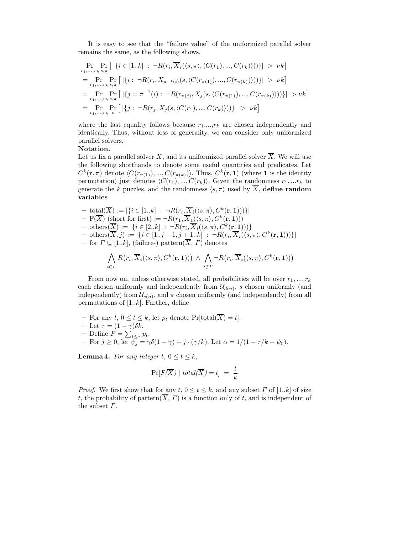It is easy to see that the "failure value" of the uniformized parallel solver remains the same, as the following shows.

$$
\Pr_{r_1,\ldots,r_k s,\pi} \Pr\left[ |\{i \in [1..k] : \neg R(r_i, \overline{X}_i(\langle s, \pi \rangle, \langle C(r_1), \ldots, C(r_k) \rangle))\}| > \nu k \right]
$$
\n
$$
= \Pr_{r_1,\ldots,r_k s,\pi} \Pr\left[ |\{i : \neg R(r_i, X_{\pi^{-1}(i)}(s, \langle C(r_{\pi(1)}), \ldots, C(r_{\pi(k)} \rangle)))\}| > \nu k \right]
$$
\n
$$
= \Pr_{r_1,\ldots,r_k s,\pi} \Pr\left[ |\{j = \pi^{-1}(i) : \neg R(r_{\pi(j)}, X_j(s, \langle C(r_{\pi(1)}), \ldots, C(r_{\pi(k)} \rangle)))\}| > \nu k \right]
$$
\n
$$
= \Pr_{r_1,\ldots,r_k s} \Pr\left[ |\{j : \neg R(r_j, X_j(s, \langle C(r_1), \ldots, C(r_k) \rangle))\}| > \nu k \right]
$$

where the last equality follows because  $r_1, \ldots, r_k$  are chosen independently and identically. Thus, without loss of generality, we can consider only uniformized parallel solvers.

## Notation.

Let us fix a parallel solver X, and its uniformized parallel solver  $\overline{X}$ . We will use the following shorthands to denote some useful quantities and predicates. Let  $C^k(\mathbf{r},\pi)$  denote  $\langle C(r_{\pi(1)}),..., C(r_{\pi(k)})\rangle$ . Thus,  $C^k(\mathbf{r},\mathbf{1})$  (where 1 is the identity permutation) just denotes  $\langle C(r_1), ..., C(r_k) \rangle$ . Given the randomness  $r_1, ...r_k$  to generate the k puzzles, and the randomness  $\langle s, \pi \rangle$  used by  $\overline{X}$ , define random variables

 $-$  total $(\overline{X}) := |\{i \in [1..k] : \neg R(r_i, \overline{X}_i(\langle s, \pi \rangle, C^k(\mathbf{r}, \mathbf{1})))\}|$  $- F(\overline{X})$  (short for first)  $:= \neg R(r_1, \overline{X_1}(s, \pi), C^k(\mathbf{r}, 1)))$  $-$  others $(\overline{X}) := |\{i \in [2..k] : \neg R(r_i, \overline{X}_i(\langle s, \pi \rangle, C^k(\mathbf{r},1)))\}|$  $-$  others $(\overline{X}, j) := |\{i \in [1..j-1, j+1..k] : \neg R(r_i, \overline{X}_i(\langle s, \pi \rangle, C^k(\mathbf{r}, \mathbf{1})))\}|$ – for  $\Gamma \subseteq [1..k]$ , (failure-) pattern $(\overline{X}, \Gamma)$  denotes

$$
\bigwedge_{i \in \Gamma} R(r_i, \overline{X}_i(\langle s, \pi \rangle, C^k(\mathbf{r}, \mathbf{1})) ) \ \wedge \ \bigwedge_{i \notin \Gamma} \neg R(r_i, \overline{X}_i(\langle s, \pi \rangle, C^k(\mathbf{r}, \mathbf{1})) )
$$

From now on, unless otherwise stated, all probabilities will be over  $r_1, ..., r_k$ each chosen uniformly and independently from  $\mathcal{U}_{d(n)}$ , s chosen uniformly (and independently) from  $\mathcal{U}_{c(n)}$ , and  $\pi$  chosen uniformly (and independently) from all permutations of  $[1..k]$ . Further, define

- For any  $t, 0 \le t \le k$ , let  $p_t$  denote  $Pr[\text{total}(\overline{X}) = t]$ . – Let  $\tau = (1 - \gamma)\delta k$ .
- Define  $P = \sum_{t \leq \tau} p_t$ .
- For  $j \ge 0$ , let  $\psi_j = \gamma \delta(1 \gamma) + j \cdot (\gamma/k)$ . Let  $\alpha = 1/(1 \tau/k \psi_0)$ .

**Lemma 4.** For any integer  $t, 0 \le t \le k$ ,

$$
\Pr[F(\overline{X}) \mid total(\overline{X}) = t] \ = \ \frac{t}{k}
$$

*Proof.* We first show that for any  $t, 0 \le t \le k$ , and any subset  $\Gamma$  of [1.*k*] of size t, the probability of pattern $(\overline{X}, \Gamma)$  is a function only of t, and is independent of the subset Γ.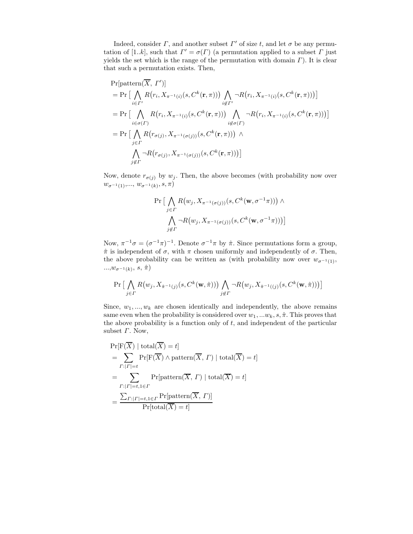Indeed, consider  $\Gamma$ , and another subset  $\Gamma'$  of size t, and let  $\sigma$  be any permutation of [1.*k*], such that  $\Gamma' = \sigma(\Gamma)$  (a permutation applied to a subset  $\Gamma$  just yields the set which is the range of the permutation with domain  $\Gamma$ ). It is clear that such a permutation exists. Then,

$$
\Pr[\text{pattern}(\overline{X}, \Gamma')]
$$
\n
$$
= \Pr\big[\bigwedge_{i \in \Gamma'} R(r_i, X_{\pi^{-1}(i)}(s, C^k(\mathbf{r}, \pi))) \bigwedge_{i \notin \Gamma'} \neg R(r_i, X_{\pi^{-1}(i)}(s, C^k(\mathbf{r}, \pi)))\big]
$$
\n
$$
= \Pr\big[\bigwedge_{i \in \sigma(\Gamma)} R(r_i, X_{\pi^{-1}(i)}(s, C^k(\mathbf{r}, \pi))) \bigwedge_{i \notin \sigma(\Gamma)} \neg R(r_i, X_{\pi^{-1}(i)}(s, C^k(\mathbf{r}, \pi)))\big]
$$
\n
$$
= \Pr\big[\bigwedge_{j \in \Gamma} R(r_{\sigma(j)}, X_{\pi^{-1}(\sigma(j))}(s, C^k(\mathbf{r}, \pi))) \bigwedge_{j \notin \Gamma} \neg R(r_{\sigma(j)}, X_{\pi^{-1}(\sigma(j))}(s, C^k(\mathbf{r}, \pi)))\big]
$$

Now, denote  $r_{\sigma(j)}$  by  $w_j$ . Then, the above becomes (with probability now over  $w_{\sigma^{-1}(1)},..., w_{\sigma^{-1}(k)}, s, \pi$ 

$$
\Pr\left[\bigwedge_{j\in\Gamma}R(w_j,X_{\pi^{-1}(\sigma(j))}(s,C^k(\mathbf{w},\sigma^{-1}\pi)))\wedge\\\bigwedge_{j\notin\Gamma}\neg R(w_j,X_{\pi^{-1}(\sigma(j))}(s,C^k(\mathbf{w},\sigma^{-1}\pi)))\right]
$$

Now,  $\pi^{-1}\sigma = (\sigma^{-1}\pi)^{-1}$ . Denote  $\sigma^{-1}\pi$  by  $\hat{\pi}$ . Since permutations form a group,  $\hat{\pi}$  is independent of  $\sigma$ , with  $\pi$  chosen uniformly and independently of  $\sigma$ . Then, the above probability can be written as (with probability now over  $w_{\sigma^{-1}(1)}$ ,  $..., w_{\sigma^{-1}(k)}, s, \hat{\pi})$ 

$$
\Pr\big[\bigwedge_{j\in\varGamma}R\big(w_j,X_{\hat{\pi}^{-1}(j)}(s,C^k(\mathbf{w},\hat{\pi}))\big)\bigwedge_{j\not\in\varGamma}\neg R\big(w_j,X_{\hat{\pi}^{-1}((j)}(s,C^k(\mathbf{w},\hat{\pi}))\big)\big]
$$

Since,  $w_1, ..., w_k$  are chosen identically and independently, the above remains same even when the probability is considered over  $w_1, \ldots w_k, s, \hat{\pi}$ . This proves that the above probability is a function only of  $t$ , and independent of the particular subset  $\Gamma$ . Now,

$$
\Pr[F(\overline{X}) \mid \text{total}(\overline{X}) = t]
$$
\n
$$
= \sum_{\Gamma:|\Gamma|=t} \Pr[F(\overline{X}) \land \text{pattern}(\overline{X}, \Gamma) \mid \text{total}(\overline{X}) = t]
$$
\n
$$
= \sum_{\Gamma:|\Gamma|=t, 1 \in \Gamma} \Pr[\text{pattern}(\overline{X}, \Gamma) \mid \text{total}(\overline{X}) = t]
$$
\n
$$
= \frac{\sum_{\Gamma:|\Gamma|=t, 1 \in \Gamma} \Pr[\text{pattern}(\overline{X}, \Gamma)]}{\Pr[\text{total}(\overline{X}) = t]}
$$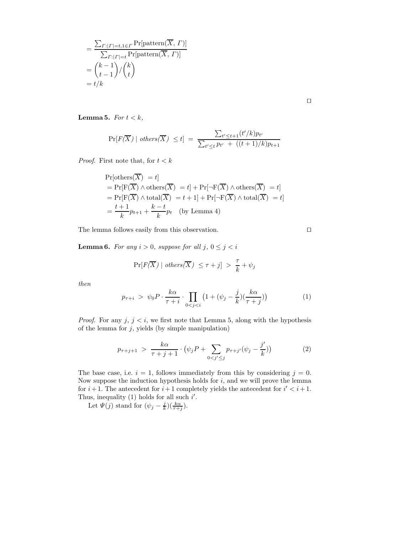$$
= \frac{\sum_{\Gamma:|\Gamma|=t,1\in\Gamma} \Pr[\text{pattern}(\overline{X},\Gamma)]}{\sum_{\Gamma:|\Gamma|=t} \Pr[\text{pattern}(\overline{X},\Gamma)]}
$$

$$
= {k-1 \choose t-1} / {k \choose t}
$$

$$
= t/k
$$

 $\Box$ 

**Lemma 5.** For  $t < k$ ,

$$
\Pr[F(\overline{X}) \mid others(\overline{X}) \le t] = \frac{\sum_{t' \le t+1} (t'/k)p_{t'}}{\sum_{t' \le t} p_{t'} + ((t+1)/k)p_{t+1}}
$$

*Proof.* First note that, for  $t < k$ 

$$
\Pr[\text{others}(\overline{X}) = t]
$$
\n
$$
= \Pr[\mathbf{F}(\overline{X}) \land \text{others}(\overline{X}) = t] + \Pr[\neg \mathbf{F}(\overline{X}) \land \text{others}(\overline{X}) = t]
$$
\n
$$
= \Pr[\mathbf{F}(\overline{X}) \land \text{total}(\overline{X}) = t + 1] + \Pr[\neg \mathbf{F}(\overline{X}) \land \text{total}(\overline{X}) = t]
$$
\n
$$
= \frac{t+1}{k}p_{t+1} + \frac{k-t}{k}p_t \quad \text{(by Lemma 4)}
$$

The lemma follows easily from this observation.  $\hfill \Box$ 

**Lemma 6.** For any  $i > 0$ , suppose for all  $j, 0 \leq j < i$ 

$$
\Pr[F(\overline{X}) \mid others(\overline{X}) \leq \tau + j] > \frac{\tau}{k} + \psi_j
$$

then

$$
p_{\tau+i} > \psi_0 P \cdot \frac{k\alpha}{\tau+i} \cdot \prod_{0 < j < i} \left(1 + (\psi_j - \frac{j}{k})(\frac{k\alpha}{\tau+j})\right) \tag{1}
$$

*Proof.* For any  $j, j \leq i$ , we first note that Lemma 5, along with the hypothesis of the lemma for  $j$ , yields (by simple manipulation)

$$
p_{\tau+j+1} > \frac{k\alpha}{\tau+j+1} \cdot \left(\psi_j P + \sum_{0 < j' \le j} p_{\tau+j'}(\psi_j - \frac{j'}{k})\right) \tag{2}
$$

The base case, i.e.  $i = 1$ , follows immediately from this by considering  $j = 0$ . Now suppose the induction hypothesis holds for  $i$ , and we will prove the lemma for  $i+1$ . The antecedent for  $i+1$  completely yields the antecedent for  $i' < i+1$ . Thus, inequality (1) holds for all such  $i'$ .

Let  $\Psi(j)$  stand for  $(\psi_j - \frac{j}{k})(\frac{k\alpha}{\tau+j})$ .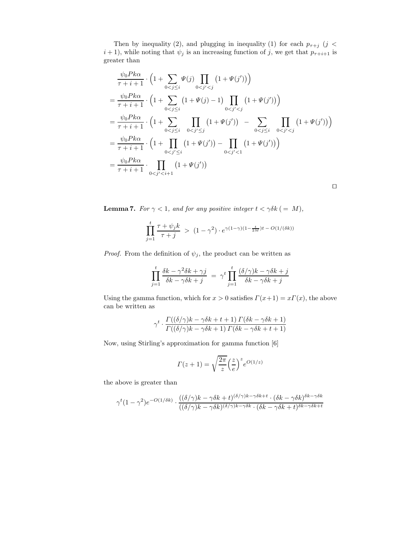Then by inequality (2), and plugging in inequality (1) for each  $p_{\tau+j}$  (j <  $i + 1$ , while noting that  $\psi_j$  is an increasing function of j, we get that  $p_{\tau+i+1}$  is greater than

$$
\frac{\psi_0 P k \alpha}{\tau + i + 1} \cdot \left( 1 + \sum_{0 < j \leq i} \Psi(j) \prod_{0 < j' < j} \left( 1 + \Psi(j') \right) \right)
$$
\n
$$
= \frac{\psi_0 P k \alpha}{\tau + i + 1} \cdot \left( 1 + \sum_{0 < j \leq i} \left( 1 + \Psi(j) - 1 \right) \prod_{0 < j' < j} \left( 1 + \Psi(j') \right) \right)
$$
\n
$$
= \frac{\psi_0 P k \alpha}{\tau + i + 1} \cdot \left( 1 + \sum_{0 < j \leq i} \prod_{0 < j' \leq j} \left( 1 + \Psi(j') \right) - \sum_{0 < j \leq i} \prod_{0 < j' < j} \left( 1 + \Psi(j') \right) \right)
$$
\n
$$
= \frac{\psi_0 P k \alpha}{\tau + i + 1} \cdot \left( 1 + \prod_{0 < j' \leq i} \left( 1 + \Psi(j') \right) - \prod_{0 < j' < 1} \left( 1 + \Psi(j') \right) \right)
$$
\n
$$
= \frac{\psi_0 P k \alpha}{\tau + i + 1} \cdot \prod_{0 < j' < i + 1} \left( 1 + \Psi(j') \right)
$$

 $\Box$ 

**Lemma 7.** For  $\gamma < 1$ , and for any positive integer  $t < \gamma \delta k$  (= M),

$$
\prod_{j=1}^t \frac{\tau + \psi_j k}{\tau + j} > (1 - \gamma^2) \cdot e^{\gamma (1 - \gamma)(1 - \frac{t}{2M})t - O(1/(\delta k))}
$$

*Proof.* From the definition of  $\psi_j$ , the product can be written as

$$
\prod_{j=1}^{t} \frac{\delta k - \gamma^2 \delta k + \gamma j}{\delta k - \gamma \delta k + j} = \gamma^t \prod_{j=1}^{t} \frac{(\delta/\gamma)k - \gamma \delta k + j}{\delta k - \gamma \delta k + j}
$$

Using the gamma function, which for  $x > 0$  satisfies  $\Gamma(x+1) = x\Gamma(x)$ , the above can be written as

$$
\gamma^t \cdot \frac{ \Gamma((\delta/\gamma)k - \gamma\delta k + t + 1) \, \Gamma(\delta k - \gamma\delta k + 1) }{ \Gamma((\delta/\gamma)k - \gamma\delta k + 1) \, \Gamma(\delta k - \gamma\delta k + t + 1) }
$$

Now, using Stirling's approximation for gamma function [6]

$$
\Gamma(z+1) = \sqrt{\frac{2\pi}{z}} \left(\frac{z}{e}\right)^z e^{O(1/z)}
$$

the above is greater than

$$
\gamma^t(1-\gamma^2)e^{-O(1/\delta k)} \cdot \frac{((\delta/\gamma)k-\gamma\delta k+t)^{(\delta/\gamma)k-\gamma\delta k+t} \cdot (\delta k-\gamma\delta k)^{\delta k-\gamma\delta k}}{((\delta/\gamma)k-\gamma\delta k)^{(\delta/\gamma)k-\gamma\delta k} \cdot (\delta k-\gamma\delta k+t)^{\delta k-\gamma\delta k+t}}
$$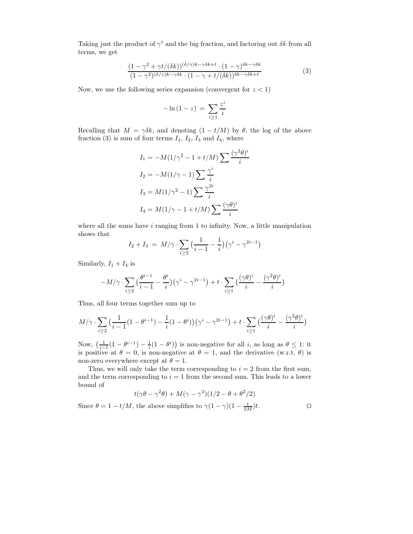Taking just the product of  $\gamma^t$  and the big fraction, and factoring out  $\delta k$  from all terms, we get

$$
\frac{(1 - \gamma^2 + \gamma t/(\delta k))^{(\delta/\gamma)k - \gamma\delta k + t} \cdot (1 - \gamma)^{\delta k - \gamma\delta k}}{(1 - \gamma^2)^{(\delta/\gamma)k - \gamma\delta k} \cdot (1 - \gamma + t/(\delta k))^{\delta k - \gamma\delta k + t}} \tag{3}
$$

Now, we use the following series expansion (convergent for  $z < 1$ )

$$
-\ln\left(1-z\right) \ = \ \sum_{i\geq 1} \frac{z^i}{i}
$$

Recalling that  $M = \gamma \delta k$ , and denoting  $(1 - t/M)$  by  $\theta$ , the log of the above fraction (3) is sum of four terms  $I_1$ ,  $I_2$ ,  $I_3$  and  $I_4$ , where

$$
I_1 = -M(1/\gamma^2 - 1 + t/M) \sum \frac{(\gamma^2 \theta)^i}{i}
$$

$$
I_2 = -M(1/\gamma - 1) \sum \frac{\gamma^i}{i}
$$

$$
I_3 = M(1/\gamma^2 - 1) \sum \frac{\gamma^{2i}}{i}
$$

$$
I_4 = M(1/\gamma - 1 + t/M) \sum \frac{(\gamma \theta)^i}{i}
$$

where all the sums have  $i$  ranging from 1 to infinity. Now, a little manipulation shows that

$$
I_2 + I_3 = M/\gamma \cdot \sum_{i \ge 2} \left( \frac{1}{i-1} - \frac{1}{i} \right) \left( \gamma^i - \gamma^{2i-1} \right)
$$

Similarly,  $I_1 + I_4$  is

$$
-M/\gamma\cdot\sum_{i\geq 2}\big(\frac{\theta^{i-1}}{i-1}-\frac{\theta^i}{i}\big)\big(\gamma^i-\gamma^{2i-1}\big)+t\cdot\sum_{i\geq 1}\big(\frac{(\gamma\theta)^i}{i}-\frac{(\gamma^2\theta)^i}{i}\big)
$$

Thus, all four terms together sum up to

$$
M/\gamma \cdot \sum_{i\geq 2} \left(\frac{1}{i-1}(1-\theta^{i-1}) - \frac{1}{i}(1-\theta^i)\right)(\gamma^i - \gamma^{2i-1}) + t \cdot \sum_{i\geq 1} \left(\frac{(\gamma\theta)^i}{i} - \frac{(\gamma^2\theta)^i}{i}\right)
$$

Now,  $\left(\frac{1}{i-1}(1-\theta^{i-1})-\frac{1}{i}(1-\theta^{i})\right)$  is non-negative for all i, as long as  $\theta \leq 1$ : it is positive at  $\theta = 0$ , is non-negative at  $\theta = 1$ , and the derivative (w.r.t.  $\theta$ ) is non-zero everywhere except at  $\theta = 1$ .

Thus, we will only take the term corresponding to  $i = 2$  from the first sum, and the term corresponding to  $i = 1$  from the second sum. This leads to a lower bound of

$$
t(\gamma\theta - \gamma^2\theta) + M(\gamma - \gamma^2)(1/2 - \theta + \theta^2/2)
$$

Since  $\theta = 1 - t/M$ , the above simplifies to  $\gamma (1 - \gamma)(1 - \frac{t}{2M})t$ .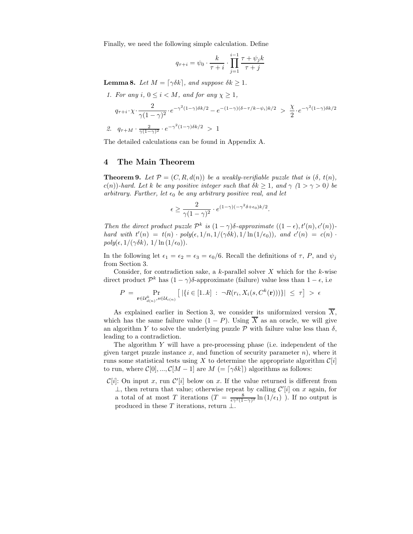Finally, we need the following simple calculation. Define

$$
q_{\tau+i} = \psi_0 \cdot \frac{k}{\tau+i} \cdot \prod_{j=1}^{i-1} \frac{\tau + \psi_j k}{\tau+j}
$$

**Lemma 8.** Let  $M = \lceil \gamma \delta k \rceil$ , and suppose  $\delta k \geq 1$ .

\n- 1. For any 
$$
i, 0 \leq i < M
$$
, and for any  $\chi \geq 1$ ,
\n- $q_{\tau+i} \cdot \chi \cdot \frac{2}{\gamma(1-\gamma)^2} \cdot e^{-\gamma^2(1-\gamma)\delta k/2} - e^{-(1-\gamma)(\delta-\tau/k-\psi_i)k/2} > \frac{\chi}{2} \cdot e^{-\gamma^2(1-\gamma)\delta k/2}$
\n- 2.  $q_{\tau+M} \cdot \frac{2}{\gamma(1-\gamma)^2} \cdot e^{-\gamma^2(1-\gamma)\delta k/2} > 1$
\n

The detailed calculations can be found in Appendix A.

## 4 The Main Theorem

**Theorem 9.** Let  $\mathcal{P} = (C, R, d(n))$  be a weakly-verifiable puzzle that is  $(\delta, t(n))$ , c(n))-hard. Let k be any positive integer such that  $\delta k \geq 1$ , and  $\gamma$  ( $1 > \gamma > 0$ ) be arbitrary. Further, let  $\epsilon_0$  be any arbitrary positive real, and let

$$
\epsilon \ge \frac{2}{\gamma (1 - \gamma)^2} \cdot e^{(1 - \gamma)(-\gamma^2 \delta + \epsilon_0)k/2}.
$$

Then the direct product puzzle  $\mathcal{P}^k$  is  $(1-\gamma)\delta$ -approximate  $((1-\epsilon), t'(n), c'(n))$ hard with  $t'(n) = t(n) \cdot poly(\epsilon, 1/n, 1/(\gamma \delta k), 1/ln(1/\epsilon_0))$ , and  $c'(n) = c(n)$ .  $poly(\epsilon, 1/(\gamma \delta k), 1/\ln(1/\epsilon_0)).$ 

In the following let  $\epsilon_1 = \epsilon_2 = \epsilon_3 = \epsilon_0/6$ . Recall the definitions of  $\tau$ , P, and  $\psi_j$ from Section 3.

Consider, for contradiction sake, a k-parallel solver  $X$  which for the k-wise direct product  $\mathcal{P}^k$  has  $(1 - \gamma)\delta$ -approximate (failure) value less than  $1 - \epsilon$ , i.e

$$
P = \Pr_{\mathbf{r} \in \mathcal{U}_{d(n)}^k, s \in \mathcal{U}_{c(n)}} \left[ \left| \{ i \in [1..k] : \neg R(r_i, X_i(s, C^k(\mathbf{r}))) \} \right| \leq \tau \right] > \epsilon
$$

As explained earlier in Section 3, we consider its uniformized version  $\overline{X}$ , which has the same failure value  $(1 - P)$ . Using  $\overline{X}$  as an oracle, we will give an algorithm Y to solve the underlying puzzle  $\mathcal P$  with failure value less than  $\delta$ , leading to a contradiction.

The algorithm Y will have a pre-processing phase (i.e. independent of the given target puzzle instance  $x$ , and function of security parameter  $n$ ), where it runs some statistical tests using X to determine the appropriate algorithm  $\mathcal{C}[i]$ to run, where  $\mathcal{C}[0], ..., \mathcal{C}[M-1]$  are  $M = \lceil \gamma \delta k \rceil$  algorithms as follows:

 $\mathcal{C}[i]$ : On input x, run  $\mathcal{C}'[i]$  below on x. If the value returned is different from  $\perp$ , then return that value; otherwise repeat by calling C  $'[i]$  on  $x$  again, for a total of at most T iterations  $(T = \frac{8}{\epsilon \gamma^2 (1-\gamma)^2} \ln(1/\epsilon_1)$ . If no output is produced in these T iterations, return  $\perp$ .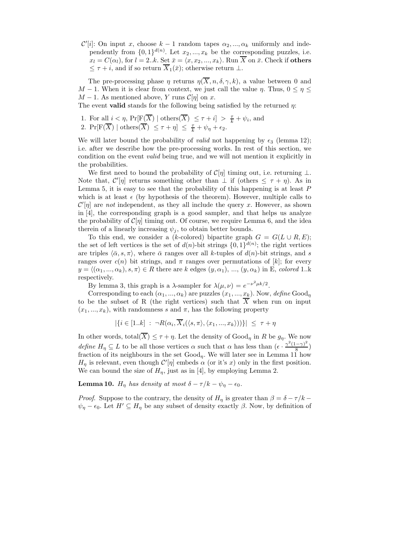$\mathcal{C}'[i]$ : On input x, choose  $k-1$  random tapes  $\alpha_2, ..., \alpha_k$  uniformly and independently from  $\{0,1\}^{d(n)}$ . Let  $x_2, ..., x_k$  be the corresponding puzzles, i.e.  $x_l = C(\alpha_l)$ , for  $l = 2..k$ . Set  $\bar{x} = \langle x, x_2, ..., x_k \rangle$ . Run  $\overline{X}$  on  $\bar{x}$ . Check if others  $\leq \tau + i$ , and if so return  $\overline{X}_1(\overline{x})$ ; otherwise return  $\perp$ .

The pre-processing phase  $\eta$  returns  $\eta(\overline{X}, n, \delta, \gamma, k)$ , a value between 0 and M − 1. When it is clear from context, we just call the value  $\eta$ . Thus,  $0 \leq \eta \leq$  $M-1$ . As mentioned above, Y runs  $\mathcal{C}[\eta]$  on x.

The event **valid** stands for the following being satisfied by the returned  $\eta$ :

1. For all 
$$
i < \eta
$$
,  $\Pr[\text{F}(\overline{X}) \mid \text{others}(\overline{X}) \leq \tau + i] > \frac{\tau}{k} + \psi_i$ , and 2.  $\Pr[\text{F}(\overline{X}) \mid \text{others}(\overline{X}) \leq \tau + \eta] \leq \frac{\tau}{k} + \psi_{\eta} + \epsilon_2$ .

We will later bound the probability of *valid* not happening by  $\epsilon_3$  (lemma 12); i.e. after we describe how the pre-processing works. In rest of this section, we condition on the event valid being true, and we will not mention it explicitly in the probabilities.

We first need to bound the probability of  $\mathcal{C}[\eta]$  timing out, i.e. returning  $\perp$ . Note that,  $\mathcal{C}'[\eta]$  returns something other than  $\perp$  if (others  $\leq \tau + \eta$ ). As in Lemma 5, it is easy to see that the probability of this happening is at least  $P$ which is at least  $\epsilon$  (by hypothesis of the theorem). However, multiple calls to  $\mathcal{C}'[\eta]$  are *not* independent, as they all include the query x. However, as shown in [4], the corresponding graph is a good sampler, and that helps us analyze the probability of  $\mathcal{C}[\eta]$  timing out. Of course, we require Lemma 6, and the idea therein of a linearly increasing  $\psi_i$ , to obtain better bounds.

To this end, we consider a (k-colored) bipartite graph  $G = G(L \cup R, E);$ the set of left vertices is the set of  $d(n)$ -bit strings  $\{0, 1\}^{d(n)}$ ; the right vertices are triples  $\langle \bar{\alpha}, s, \pi \rangle$ , where  $\bar{\alpha}$  ranges over all k-tuples of  $d(n)$ -bit strings, and s ranges over  $c(n)$  bit strings, and  $\pi$  ranges over permutations of [k]; for every  $y = \langle (\alpha_1, ..., \alpha_k), s, \pi \rangle \in R$  there are k edges  $(y, \alpha_1), ..., (y, \alpha_k)$  in E, colored 1..k respectively.

By lemma 3, this graph is a  $\lambda$ -sampler for  $\lambda(\mu, \nu) = e^{-\nu^2 \mu k/2}$ .

Corresponding to each  $(\alpha_1, ..., \alpha_k)$  are puzzles  $(x_1, ..., x_k)$ . Now, define Good<sub>n</sub> to be the subset of R (the right vertices) such that  $\overline{X}$  when run on input  $(x_1, ..., x_k)$ , with randomness s and  $\pi$ , has the following property

$$
|\{i \in [1..k] : \neg R(\alpha_i, \overline{X}_i(\langle s,\pi \rangle, \langle x_1,...,x_k \rangle))\}| \leq \tau + \eta
$$

In other words, total $(\overline{X}) \leq \tau + \eta$ . Let the density of  $Good_{\eta}$  in R be  $g_{\eta}$ . We now define  $H_{\eta} \subseteq L$  to be all those vertices  $\alpha$  such that  $\alpha$  has less than  $(\epsilon \cdot \frac{\gamma^2(1-\gamma)^2}{8})$  $\frac{(-\gamma)}{8}$ fraction of its neighbours in the set  $Good_{\eta}$ . We will later see in Lemma 11 how  $H_{\eta}$  is relevant, even though  $\mathcal{C}'[\eta]$  embeds  $\alpha$  (or it's x) only in the first position. We can bound the size of  $H_n$ , just as in [4], by employing Lemma 2.

**Lemma 10.**  $H_{\eta}$  has density at most  $\delta - \tau/k - \psi_{\eta} - \epsilon_0$ .

*Proof.* Suppose to the contrary, the density of  $H_n$  is greater than  $\beta = \delta - \tau/k$  $\psi_{\eta} - \epsilon_0$ . Let  $H' \subseteq H_{\eta}$  be any subset of density exactly  $\beta$ . Now, by definition of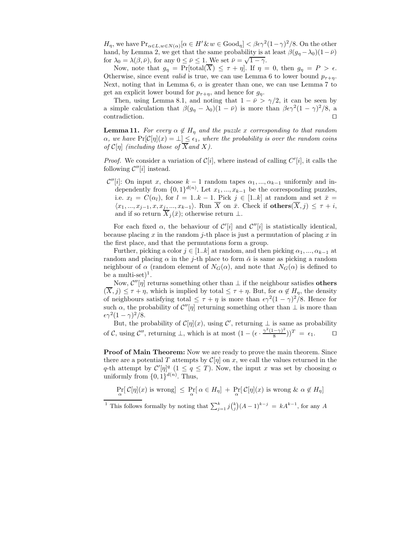$H_{\eta}$ , we have  $\Pr_{\alpha \in L, w \in N(\alpha)}[\alpha \in H' \& w \in Good_{\eta}] < \beta \epsilon \gamma^2 (1-\gamma)^2/8$ . On the other hand, by Lemma 2, we get that the same probability is at least  $\beta(g_n - \lambda_0)(1 - \bar{\nu})$ for  $\lambda_0 = \lambda(\beta, \bar{\nu})$ , for any  $0 \leq \bar{\nu} \leq 1$ . We set  $\bar{\nu} = \sqrt{1 - \gamma}$ .

Now, note that  $g_{\eta} = \Pr[\text{total}(\overline{X}) \leq \tau + \eta]$ . If  $\eta = 0$ , then  $g_{\eta} = P > \epsilon$ . Otherwise, since event *valid* is true, we can use Lemma 6 to lower bound  $p_{\tau+n}$ . Next, noting that in Lemma 6,  $\alpha$  is greater than one, we can use Lemma 7 to get an explicit lower bound for  $p_{\tau+\eta}$ , and hence for  $g_{\eta}$ .

Then, using Lemma 8.1, and noting that  $1 - \bar{\nu} > \gamma/2$ , it can be seen by a simple calculation that  $\beta(g_{\eta} - \lambda_0)(1 - \bar{\nu})$  is more than  $\beta \epsilon \gamma^2 (1 - \gamma)^2 / 8$ , a contradiction.  $\Box$ 

**Lemma 11.** For every  $\alpha \notin H_n$  and the puzzle x corresponding to that random  $\alpha$ , we have  $Pr[\mathcal{C}[\eta](x) = \bot] \leq \epsilon_1$ , where the probability is over the random coins of  $\mathcal{C}[\eta]$  (including those of  $\overline{X}$  and X).

*Proof.* We consider a variation of  $C[i]$ , where instead of calling  $C'[i]$ , it calls the following  $\mathcal{C}''[i]$  instead.

 $\mathcal{C}''[i]$ : On input x, choose  $k-1$  random tapes  $\alpha_1, ..., \alpha_{k-1}$  uniformly and independently from  $\{0,1\}^{d(n)}$ . Let  $x_1, ..., x_{k-1}$  be the corresponding puzzles, i.e.  $x_l = C(\alpha_l)$ , for  $l = 1..k - 1$ . Pick  $j \in [1..k]$  at random and set  $\bar{x} =$  $\langle x_1, ..., x_{j-1}, x, x_j, ..., x_{k-1} \rangle$ . Run  $\overline{X}$  on  $\overline{x}$ . Check if others $(\overline{X}, j) \leq \tau + i$ , and if so return  $\overline{X}_j(\overline{x})$ ; otherwise return ⊥.

For each fixed  $\alpha$ , the behaviour of  $\mathcal{C}'[i]$  and  $\mathcal{C}''[i]$  is statistically identical, because placing x in the random j-th place is just a permutation of placing x in the first place, and that the permutations form a group.

Further, picking a color  $j \in [1..k]$  at random, and then picking  $\alpha_1, ..., \alpha_{k-1}$  at random and placing  $\alpha$  in the j-th place to form  $\bar{\alpha}$  is same as picking a random neighbour of  $\alpha$  (random element of  $N_G(\alpha)$ , and note that  $N_G(\alpha)$  is defined to be a multi-set $)^{1}$ .

Now,  $\mathcal{C}''[\eta]$  returns something other than  $\perp$  if the neighbour satisfies others  $(\overline{X}, j) \leq \tau + \eta$ , which is implied by total  $\leq \tau + \eta$ . But, for  $\alpha \notin H_n$ , the density of neighbours satisfying total  $\leq \tau + \eta$  is more than  $\epsilon \gamma^2 (1 - \gamma)^2 / 8$ . Hence for such  $\alpha$ , the probability of  $\mathcal{C}''[\eta]$  returning something other than  $\perp$  is more than  $\epsilon \gamma^2 (1-\gamma)^2/8.$ 

But, the probability of  $C[\eta](x)$ , using  $\mathcal{C}'$ , returning  $\perp$  is same as probability of C, using  $\mathcal{C}''$ , returning  $\perp$ , which is at most  $(1 - (\epsilon \cdot \frac{\gamma^2 (1 - \gamma)^2}{8})$  $(\frac{(-\gamma)^2}{8})^T = \epsilon_1.$ 

Proof of Main Theorem: Now we are ready to prove the main theorem. Since there are a potential T attempts by  $\mathcal{C}[\eta]$  on x, we call the values returned in the q-th attempt by  $\mathcal{C}'[\eta]^q (1 \leq q \leq T)$ . Now, the input x was set by choosing  $\alpha$ uniformly from  $\{0,1\}^{d(n)}$ . Thus,

$$
\Pr_{\alpha}[C[\eta](x) \text{ is wrong}] \leq \Pr_{\alpha}[\alpha \in H_{\eta}] + \Pr_{\alpha}[C[\eta](x) \text{ is wrong} \& \alpha \notin H_{\eta}]
$$

<sup>1</sup> This follows formally by noting that  $\sum_{j=1}^{k} j {k \choose j} (A-1)^{k-j} = kA^{k-1}$ , for any A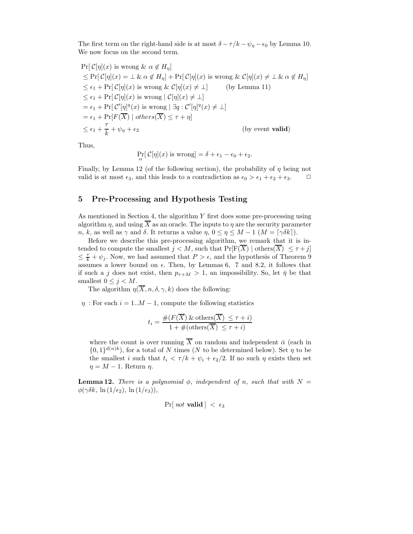The first term on the right-hand side is at most  $\delta - \tau/k - \psi_{\eta} - \epsilon_0$  by Lemma 10. We now focus on the second term.

$$
\Pr[\mathcal{C}[\eta](x) \text{ is wrong } \& \alpha \notin H_{\eta}]
$$
\n
$$
\leq \Pr[\mathcal{C}[\eta](x) = \bot \& \alpha \notin H_{\eta}] + \Pr[\mathcal{C}[\eta](x) \text{ is wrong } \& \mathcal{C}[\eta](x) \neq \bot \& \alpha \notin H_{\eta}]
$$
\n
$$
\leq \epsilon_1 + \Pr[\mathcal{C}[\eta](x) \text{ is wrong } \& \mathcal{C}[\eta](x) \neq \bot] \qquad \text{(by Lemma 11)}
$$
\n
$$
\leq \epsilon_1 + \Pr[\mathcal{C}[\eta](x) \text{ is wrong } |\mathcal{C}[\eta](x) \neq \bot]
$$
\n
$$
= \epsilon_1 + \Pr[\mathcal{C}'[\eta]^q(x) \text{ is wrong } |\exists q : \mathcal{C}'[\eta]^q(x) \neq \bot]
$$
\n
$$
= \epsilon_1 + \Pr[\mathcal{F}(\overline{X}) \mid \text{others}(\overline{X}) \leq \tau + \eta]
$$
\n
$$
\leq \epsilon_1 + \frac{\tau}{k} + \psi_{\eta} + \epsilon_2 \qquad \qquad \text{(by event valid)}
$$

Thus,

$$
\Pr_{\alpha}[\mathcal{C}[\eta](x) \text{ is wrong}] = \delta + \epsilon_1 - \epsilon_0 + \epsilon_2.
$$

Finally, by Lemma 12 (of the following section), the probability of  $\eta$  being not valid is at most  $\epsilon_3$ , and this leads to a contradiction as  $\epsilon_0 > \epsilon_1 + \epsilon_2 + \epsilon_3$ .  $\Box$ 

# 5 Pre-Processing and Hypothesis Testing

As mentioned in Section 4, the algorithm  $Y$  first does some pre-processing using algorithm  $\eta$ , and using  $\overline{X}$  as an oracle. The inputs to  $\eta$  are the security parameter n, k, as well as  $\gamma$  and  $\delta$ . It returns a value  $\eta$ ,  $0 \leq \eta \leq M - 1$   $(M = \lceil \gamma \delta k \rceil)$ .

Before we describe this pre-processing algorithm, we remark that it is intended to compute the smallest  $j < M$ , such that  $Pr[F(\overline{X}) | \text{others}(\overline{X}) \leq \tau + j]$  $\leq \frac{\tau}{k} + \psi_j$ . Now, we had assumed that  $P > \epsilon$ , and the hypothesis of Theorem 9 assumes a lower bound on  $\epsilon$ . Then, by Lemmas 6, 7 and 8.2, it follows that if such a j does not exist, then  $p_{\tau+M} > 1$ , an impossibility. So, let  $\bar{\eta}$  be that smallest  $0 \leq j \leq M$ .

The algorithm  $\eta(\overline{X}, n, \delta, \gamma, k)$  does the following:

 $\eta$ : For each  $i = 1..M - 1$ , compute the following statistics

$$
t_i = \frac{\#(F(\overline{X}) \& \text{others}(\overline{X}) \leq \tau + i)}{1 + \#(\text{others}(\overline{X}) \leq \tau + i)}
$$

where the count is over running  $\overline{X}$  on random and independent  $\overline{\alpha}$  (each in  $\{0,1\}^{d(n)k}$ , for a total of N times (N to be determined below). Set  $\eta$  to be the smallest i such that  $t_i < \tau/k + \psi_i + \epsilon_2/2$ . If no such  $\eta$  exists then set  $\eta = M - 1$ . Return  $\eta$ .

**Lemma 12.** There is a polynomial  $\phi$ , independent of n, such that with  $N =$  $\phi(\gamma\delta k, \ln(1/\epsilon_2), \ln(1/\epsilon_3)),$ 

$$
Pr[ not valid] < \epsilon_3
$$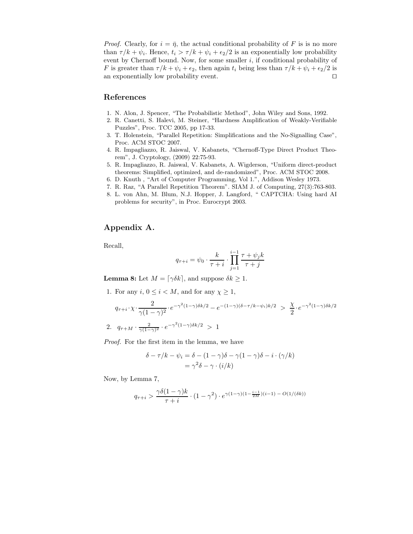*Proof.* Clearly, for  $i = \bar{\eta}$ , the actual conditional probability of F is is no more than  $\tau/k + \psi_i$ . Hence,  $t_i > \tau/k + \psi_i + \epsilon_2/2$  is an exponentially low probability event by Chernoff bound. Now, for some smaller  $i$ , if conditional probability of F is greater than  $\tau/k + \psi_i + \epsilon_2$ , then again  $t_i$  being less than  $\tau/k + \psi_i + \epsilon_2/2$  is an exponentially low probability event.  $\Box$ 

# References

- 1. N. Alon, J. Spencer, "The Probabilistic Method", John Wiley and Sons, 1992.
- 2. R. Canetti, S. Halevi, M. Steiner, "Hardness Amplification of Weakly-Verifiable Puzzles", Proc. TCC 2005, pp 17-33.
- 3. T. Holenstein, "Parallel Repetition: Simplifications and the No-Signalling Case", Proc. ACM STOC 2007.
- 4. R. Impagliazzo, R. Jaiswal, V. Kabanets, "Chernoff-Type Direct Product Theorem", J. Cryptology, (2009) 22:75-93.
- 5. R. Impagliazzo, R. Jaiswal, V. Kabanets, A. Wigderson, "Uniform direct-product theorems: Simplified, optimized, and de-randomized", Proc. ACM STOC 2008.
- 6. D. Knuth , "Art of Computer Programming, Vol 1.", Addison Wesley 1973.
- 7. R. Raz, "A Parallel Repetition Theorem". SIAM J. of Computing, 27(3):763-803.
- 8. L. von Ahn, M. Blum, N.J. Hopper, J. Langford, " CAPTCHA: Using hard AI problems for security", in Proc. Eurocrypt 2003.

# Appendix A.

Recall,

$$
q_{\tau+i} = \psi_0 \cdot \frac{k}{\tau+i} \cdot \prod_{j=1}^{i-1} \frac{\tau + \psi_j k}{\tau+j}
$$

**Lemma 8:** Let  $M = \lceil \gamma \delta k \rceil$ , and suppose  $\delta k \geq 1$ .

1. For any  $i, 0 \leq i \leq M$ , and for any  $\chi \geq 1$ ,

$$
q_{\tau+i} \cdot \chi \cdot \frac{2}{\gamma(1-\gamma)^2} \cdot e^{-\gamma^2(1-\gamma)\delta k/2} - e^{-(1-\gamma)(\delta-\tau/k-\psi_i)k/2} > \frac{\chi}{2} \cdot e^{-\gamma^2(1-\gamma)\delta k/2}
$$
  
2. 
$$
q_{\tau+M} \cdot \frac{2}{\gamma(1-\gamma)^2} \cdot e^{-\gamma^2(1-\gamma)\delta k/2} > 1
$$

Proof. For the first item in the lemma, we have

$$
\delta - \tau/k - \psi_i = \delta - (1 - \gamma)\delta - \gamma(1 - \gamma)\delta - i \cdot (\gamma/k)
$$

$$
= \gamma^2 \delta - \gamma \cdot (i/k)
$$

Now, by Lemma 7,

$$
q_{\tau+i} > \frac{\gamma \delta (1-\gamma) k}{\tau + i} \cdot (1 - \gamma^2) \cdot e^{\gamma (1-\gamma)(1 - \frac{i-1}{2M})(i-1)} - O(1/(\delta k))
$$